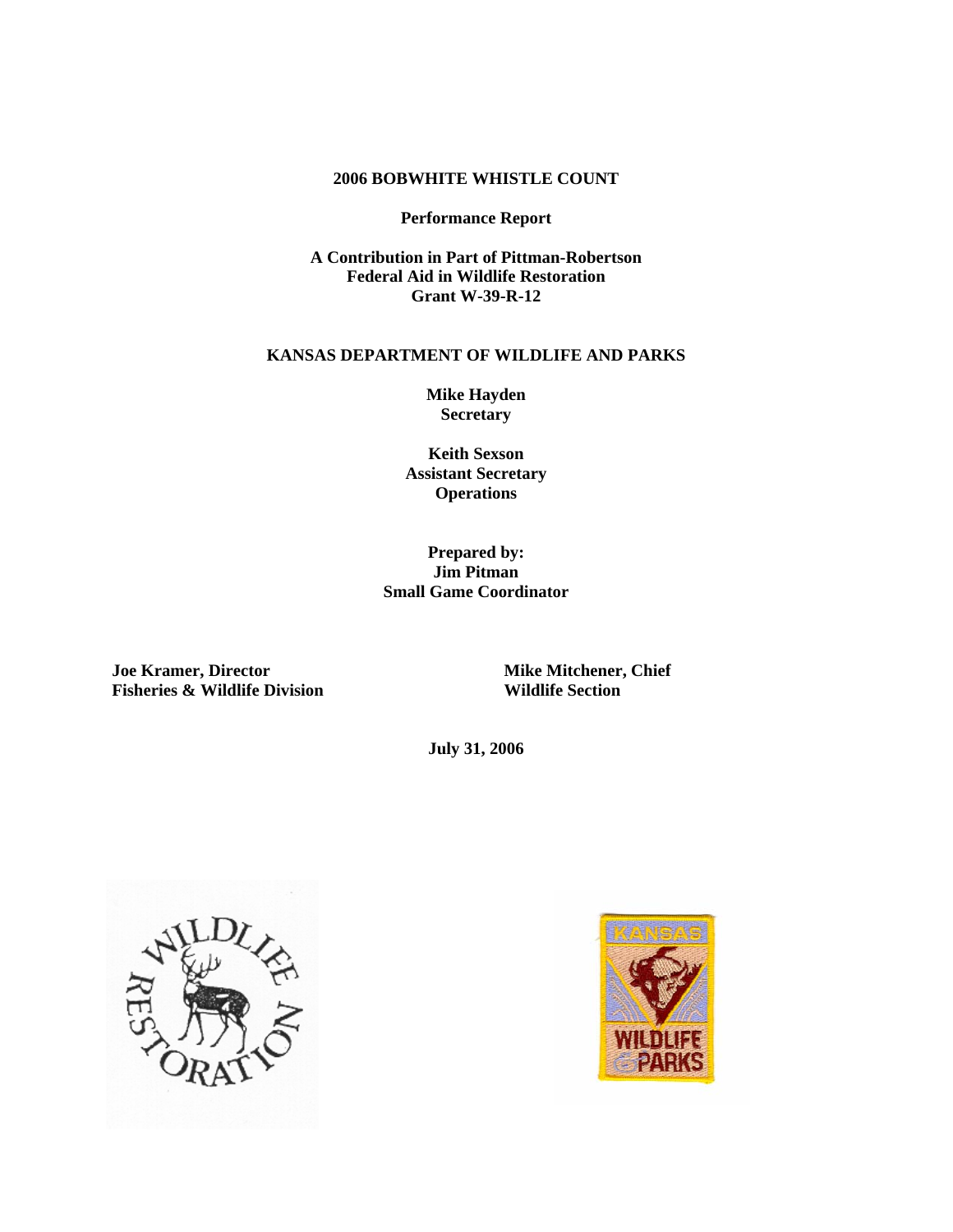### **2006 BOBWHITE WHISTLE COUNT**

## **Performance Report**

**A Contribution in Part of Pittman-Robertson Federal Aid in Wildlife Restoration Grant W-39-R-12** 

### **KANSAS DEPARTMENT OF WILDLIFE AND PARKS**

**Mike Hayden Secretary** 

**Keith Sexson Assistant Secretary Operations** 

# **Prepared by: Jim Pitman Small Game Coordinator**

**Joe Kramer, Director Mike Mitchener, Chief <br>
Fisheries & Wildlife Division Mildlife Section Mildlife Section Fisheries & Wildlife Division** 

**July 31, 2006** 



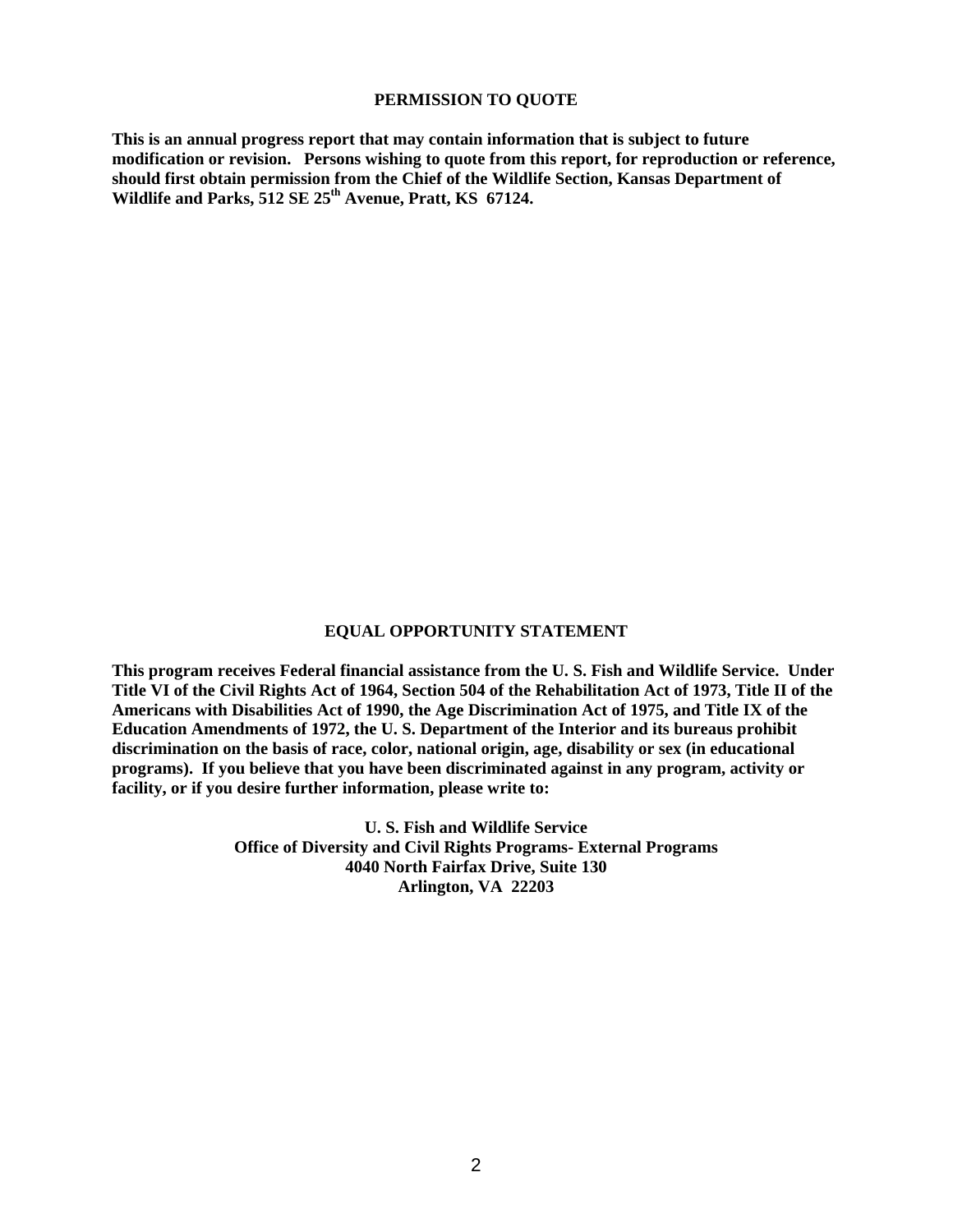#### **PERMISSION TO QUOTE**

**This is an annual progress report that may contain information that is subject to future modification or revision. Persons wishing to quote from this report, for reproduction or reference, should first obtain permission from the Chief of the Wildlife Section, Kansas Department of**  Wildlife and Parks, 512 SE 25<sup>th</sup> Avenue, Pratt, KS 67124.

## **EQUAL OPPORTUNITY STATEMENT**

**This program receives Federal financial assistance from the U. S. Fish and Wildlife Service. Under Title VI of the Civil Rights Act of 1964, Section 504 of the Rehabilitation Act of 1973, Title II of the Americans with Disabilities Act of 1990, the Age Discrimination Act of 1975, and Title IX of the Education Amendments of 1972, the U. S. Department of the Interior and its bureaus prohibit discrimination on the basis of race, color, national origin, age, disability or sex (in educational programs). If you believe that you have been discriminated against in any program, activity or facility, or if you desire further information, please write to:** 

> **U. S. Fish and Wildlife Service Office of Diversity and Civil Rights Programs- External Programs 4040 North Fairfax Drive, Suite 130 Arlington, VA 22203**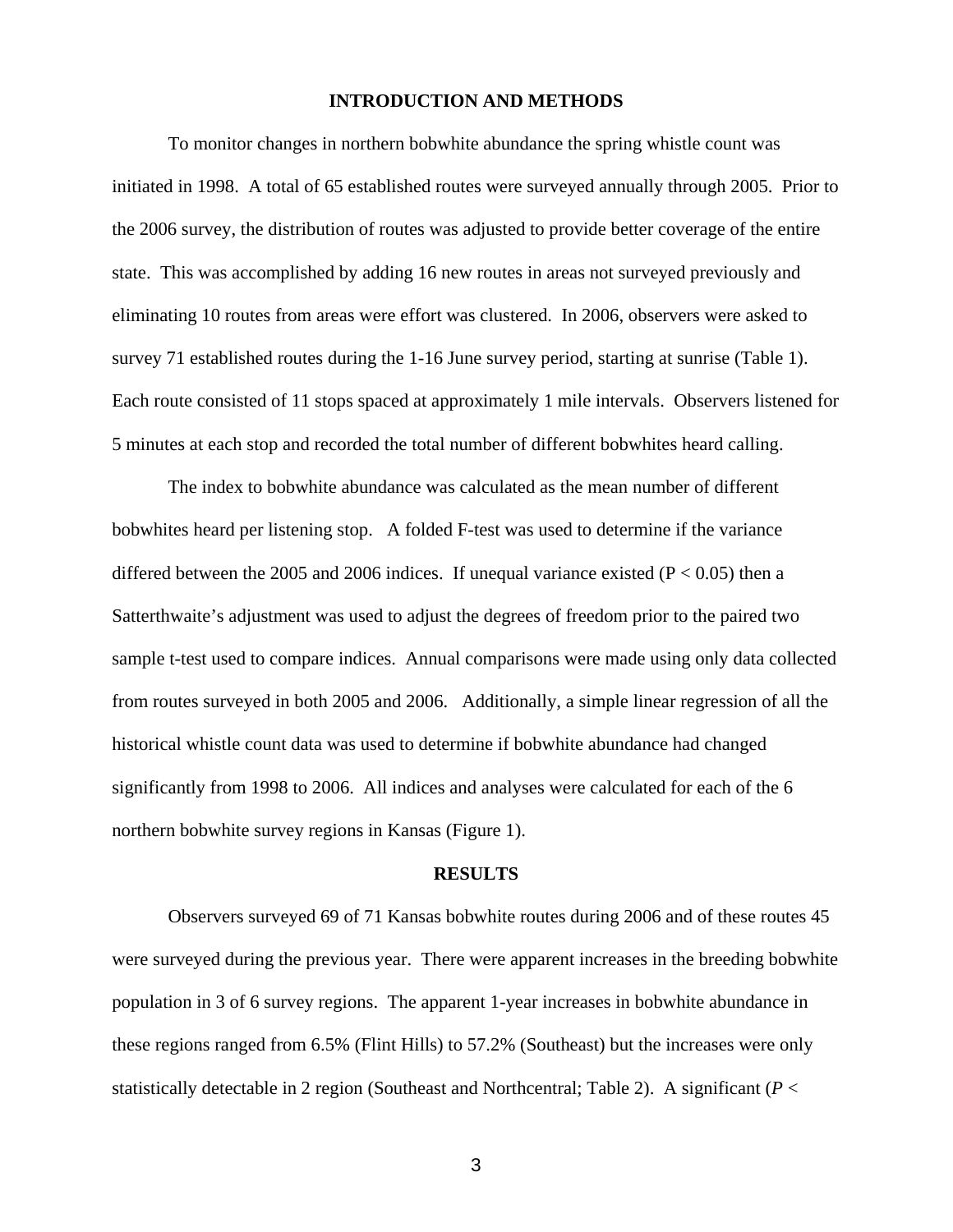## **INTRODUCTION AND METHODS**

To monitor changes in northern bobwhite abundance the spring whistle count was initiated in 1998. A total of 65 established routes were surveyed annually through 2005. Prior to the 2006 survey, the distribution of routes was adjusted to provide better coverage of the entire state. This was accomplished by adding 16 new routes in areas not surveyed previously and eliminating 10 routes from areas were effort was clustered. In 2006, observers were asked to survey 71 established routes during the 1-16 June survey period, starting at sunrise (Table 1). Each route consisted of 11 stops spaced at approximately 1 mile intervals. Observers listened for 5 minutes at each stop and recorded the total number of different bobwhites heard calling.

The index to bobwhite abundance was calculated as the mean number of different bobwhites heard per listening stop. A folded F-test was used to determine if the variance differed between the 2005 and 2006 indices. If unequal variance existed ( $P < 0.05$ ) then a Satterthwaite's adjustment was used to adjust the degrees of freedom prior to the paired two sample t-test used to compare indices. Annual comparisons were made using only data collected from routes surveyed in both 2005 and 2006. Additionally, a simple linear regression of all the historical whistle count data was used to determine if bobwhite abundance had changed significantly from 1998 to 2006. All indices and analyses were calculated for each of the 6 northern bobwhite survey regions in Kansas (Figure 1).

### **RESULTS**

Observers surveyed 69 of 71 Kansas bobwhite routes during 2006 and of these routes 45 were surveyed during the previous year. There were apparent increases in the breeding bobwhite population in 3 of 6 survey regions. The apparent 1-year increases in bobwhite abundance in these regions ranged from 6.5% (Flint Hills) to 57.2% (Southeast) but the increases were only statistically detectable in 2 region (Southeast and Northcentral; Table 2). A significant (*P* <

3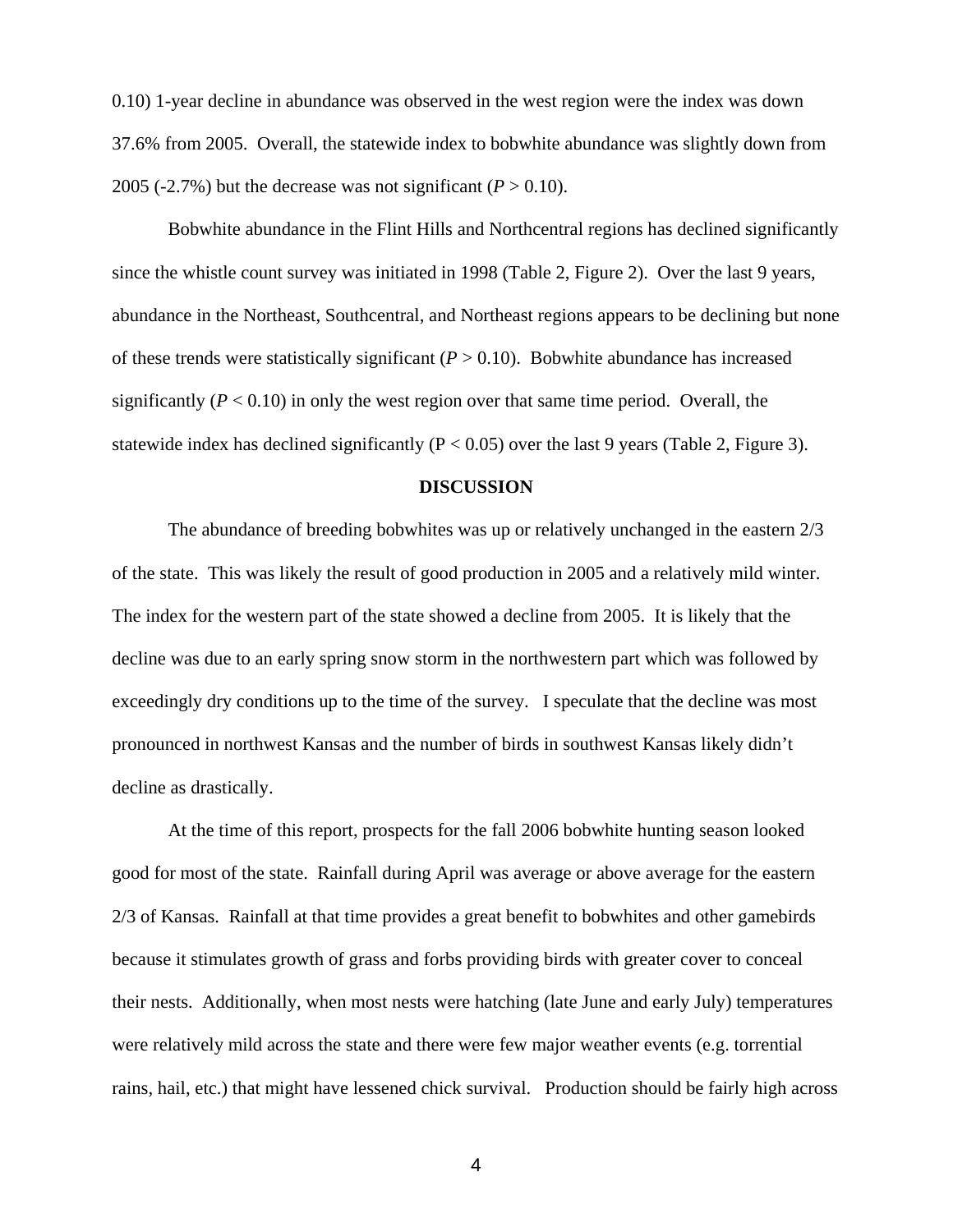0.10) 1-year decline in abundance was observed in the west region were the index was down 37.6% from 2005. Overall, the statewide index to bobwhite abundance was slightly down from 2005 (-2.7%) but the decrease was not significant  $(P > 0.10)$ .

Bobwhite abundance in the Flint Hills and Northcentral regions has declined significantly since the whistle count survey was initiated in 1998 (Table 2, Figure 2). Over the last 9 years, abundance in the Northeast, Southcentral, and Northeast regions appears to be declining but none of these trends were statistically significant  $(P > 0.10)$ . Bobwhite abundance has increased significantly  $(P < 0.10)$  in only the west region over that same time period. Overall, the statewide index has declined significantly ( $P < 0.05$ ) over the last 9 years (Table 2, Figure 3).

# **DISCUSSION**

The abundance of breeding bobwhites was up or relatively unchanged in the eastern 2/3 of the state. This was likely the result of good production in 2005 and a relatively mild winter. The index for the western part of the state showed a decline from 2005. It is likely that the decline was due to an early spring snow storm in the northwestern part which was followed by exceedingly dry conditions up to the time of the survey. I speculate that the decline was most pronounced in northwest Kansas and the number of birds in southwest Kansas likely didn't decline as drastically.

 At the time of this report, prospects for the fall 2006 bobwhite hunting season looked good for most of the state. Rainfall during April was average or above average for the eastern 2/3 of Kansas. Rainfall at that time provides a great benefit to bobwhites and other gamebirds because it stimulates growth of grass and forbs providing birds with greater cover to conceal their nests. Additionally, when most nests were hatching (late June and early July) temperatures were relatively mild across the state and there were few major weather events (e.g. torrential rains, hail, etc.) that might have lessened chick survival. Production should be fairly high across

4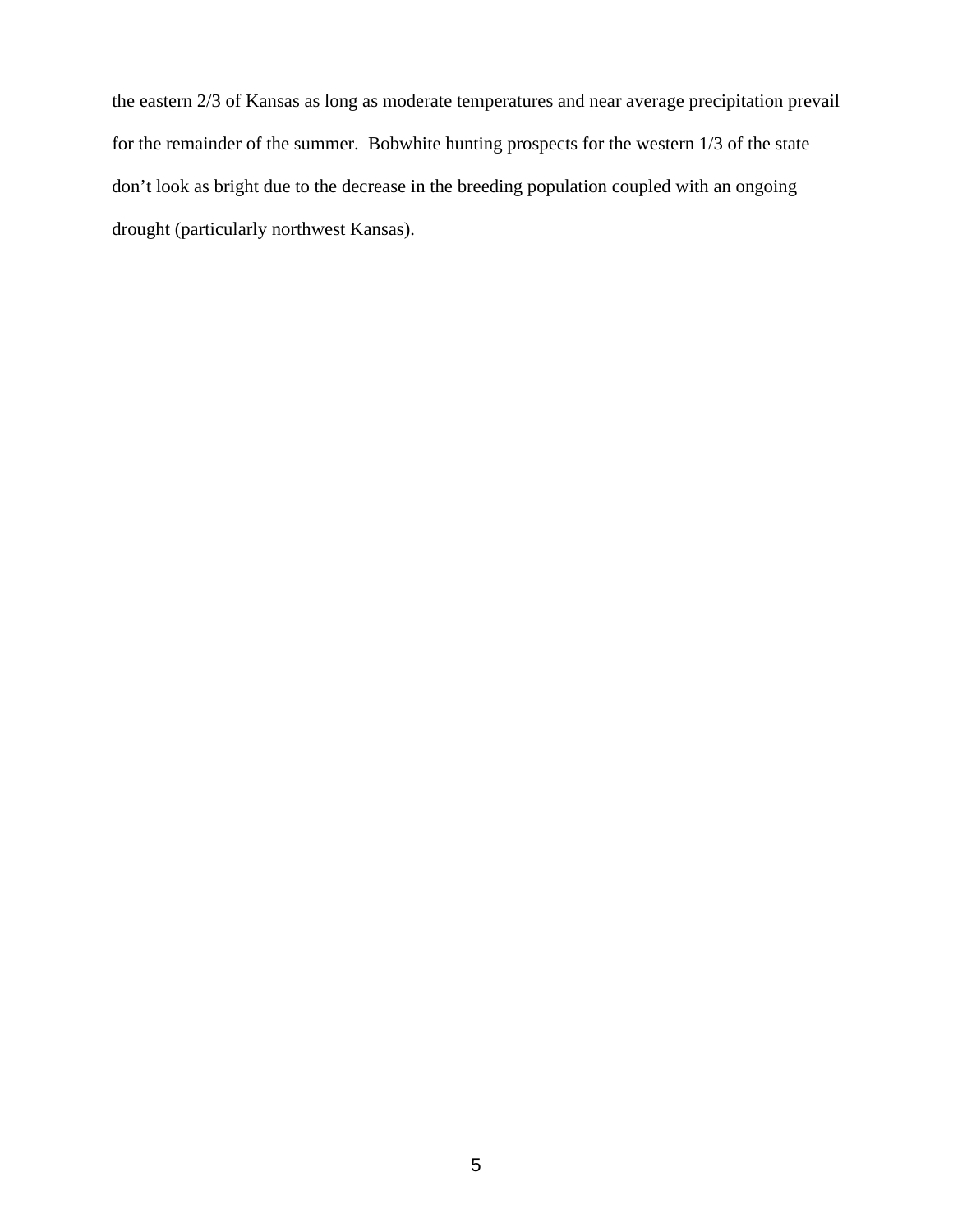the eastern 2/3 of Kansas as long as moderate temperatures and near average precipitation prevail for the remainder of the summer. Bobwhite hunting prospects for the western 1/3 of the state don't look as bright due to the decrease in the breeding population coupled with an ongoing drought (particularly northwest Kansas).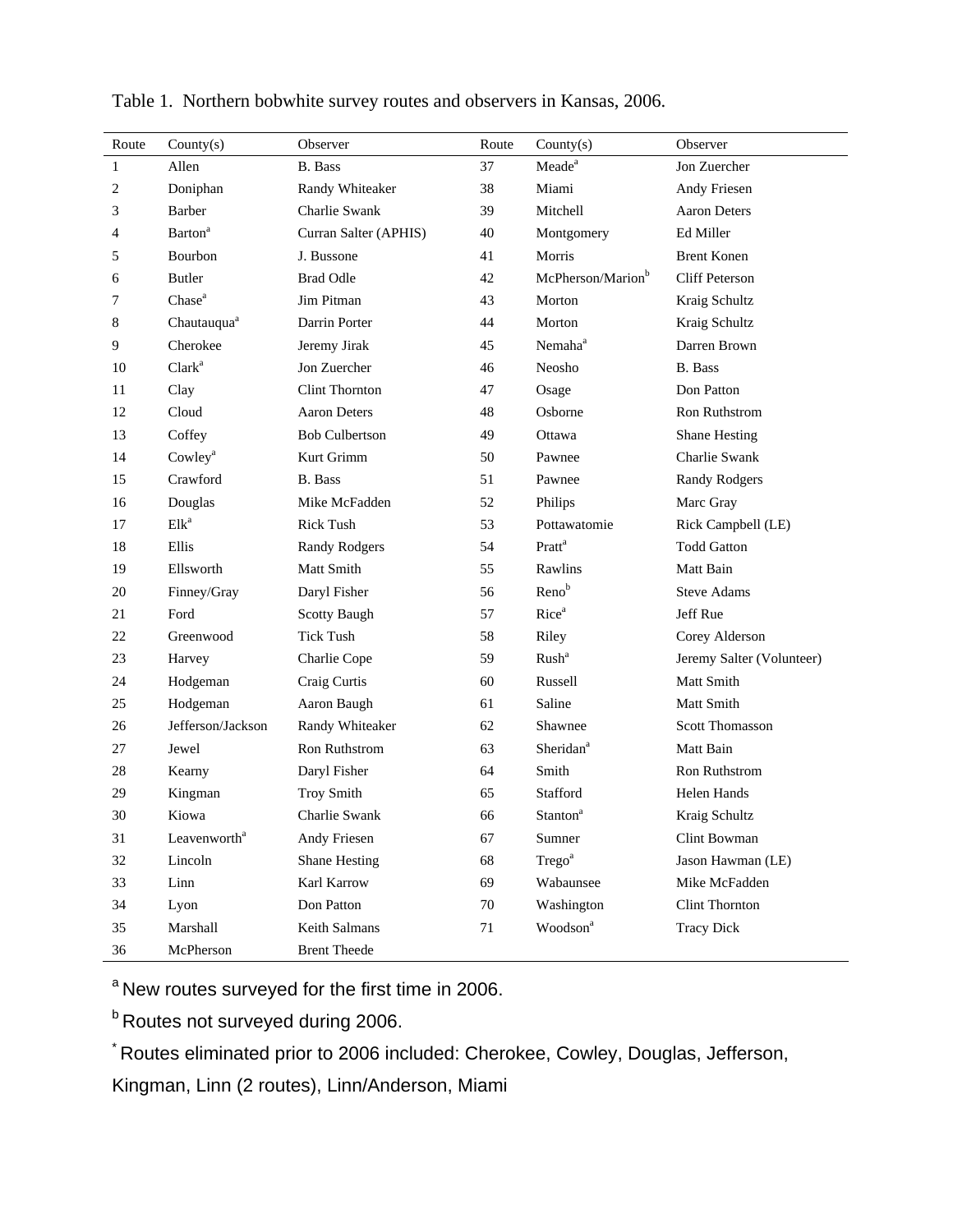| Route | Country(s)                 | Observer              | Route | Country(s)                    | Observer                  |
|-------|----------------------------|-----------------------|-------|-------------------------------|---------------------------|
| 1     | Allen                      | <b>B.</b> Bass        | 37    | Meade <sup>a</sup>            | Jon Zuercher              |
| 2     | Doniphan                   | Randy Whiteaker       | 38    | Miami                         | Andy Friesen              |
| 3     | Barber                     | <b>Charlie Swank</b>  | 39    | Mitchell                      | <b>Aaron Deters</b>       |
| 4     | <b>Barton</b> <sup>a</sup> | Curran Salter (APHIS) | 40    | Montgomery                    | Ed Miller                 |
| 5     | Bourbon                    | J. Bussone            | 41    | Morris                        | <b>Brent Konen</b>        |
| 6     | <b>Butler</b>              | <b>Brad Odle</b>      | 42    | McPherson/Marion <sup>b</sup> | <b>Cliff Peterson</b>     |
| 7     | Chase <sup>a</sup>         | Jim Pitman            | 43    | Morton                        | Kraig Schultz             |
| 8     | Chautauqua <sup>a</sup>    | Darrin Porter         | 44    | Morton                        | Kraig Schultz             |
| 9     | Cherokee                   | Jeremy Jirak          | 45    | Nemaha <sup>a</sup>           | Darren Brown              |
| 10    | Clark <sup>a</sup>         | Jon Zuercher          | 46    | Neosho                        | <b>B.</b> Bass            |
| 11    | Clay                       | Clint Thornton        | 47    | Osage                         | Don Patton                |
| 12    | Cloud                      | <b>Aaron Deters</b>   | 48    | Osborne                       | Ron Ruthstrom             |
| 13    | Coffey                     | <b>Bob Culbertson</b> | 49    | Ottawa                        | Shane Hesting             |
| 14    | Cowley <sup>a</sup>        | Kurt Grimm            | 50    | Pawnee                        | Charlie Swank             |
| 15    | Crawford                   | <b>B.</b> Bass        | 51    | Pawnee                        | Randy Rodgers             |
| 16    | Douglas                    | Mike McFadden         | 52    | Philips                       | Marc Gray                 |
| 17    | Elk <sup>a</sup>           | <b>Rick Tush</b>      | 53    | Pottawatomie                  | Rick Campbell (LE)        |
| 18    | Ellis                      | <b>Randy Rodgers</b>  | 54    | Pratt <sup>a</sup>            | <b>Todd Gatton</b>        |
| 19    | Ellsworth                  | Matt Smith            | 55    | Rawlins                       | Matt Bain                 |
| 20    | Finney/Gray                | Daryl Fisher          | 56    | Reno <sup>b</sup>             | <b>Steve Adams</b>        |
| 21    | Ford                       | <b>Scotty Baugh</b>   | 57    | Rice <sup>a</sup>             | Jeff Rue                  |
| 22    | Greenwood                  | <b>Tick Tush</b>      | 58    | Riley                         | Corey Alderson            |
| 23    | Harvey                     | Charlie Cope          | 59    | Rush <sup>a</sup>             | Jeremy Salter (Volunteer) |
| 24    | Hodgeman                   | Craig Curtis          | 60    | Russell                       | Matt Smith                |
| 25    | Hodgeman                   | Aaron Baugh           | 61    | Saline                        | Matt Smith                |
| 26    | Jefferson/Jackson          | Randy Whiteaker       | 62    | Shawnee                       | <b>Scott Thomasson</b>    |
| 27    | Jewel                      | Ron Ruthstrom         | 63    | Sheridan <sup>a</sup>         | Matt Bain                 |
| 28    | Kearny                     | Daryl Fisher          | 64    | Smith                         | Ron Ruthstrom             |
| 29    | Kingman                    | <b>Troy Smith</b>     | 65    | Stafford                      | Helen Hands               |
| 30    | Kiowa                      | Charlie Swank         | 66    | <b>Stanton</b> <sup>a</sup>   | Kraig Schultz             |
| 31    | Leavenworth <sup>a</sup>   | Andy Friesen          | 67    | Sumner                        | Clint Bowman              |
| 32    | Lincoln                    | <b>Shane Hesting</b>  | 68    | Trego <sup>a</sup>            | Jason Hawman (LE)         |
| 33    | Linn                       | Karl Karrow           | 69    | Wabaunsee                     | Mike McFadden             |
| 34    | Lyon                       | Don Patton            | 70    | Washington                    | Clint Thornton            |
| 35    | Marshall                   | Keith Salmans         | 71    | Woodson <sup>a</sup>          | <b>Tracy Dick</b>         |
| 36    | McPherson                  | <b>Brent Theede</b>   |       |                               |                           |

Table 1. Northern bobwhite survey routes and observers in Kansas, 2006.

<sup>a</sup> New routes surveyed for the first time in 2006.

**b Routes not surveyed during 2006.** 

\* Routes eliminated prior to 2006 included: Cherokee, Cowley, Douglas, Jefferson,

Kingman, Linn (2 routes), Linn/Anderson, Miami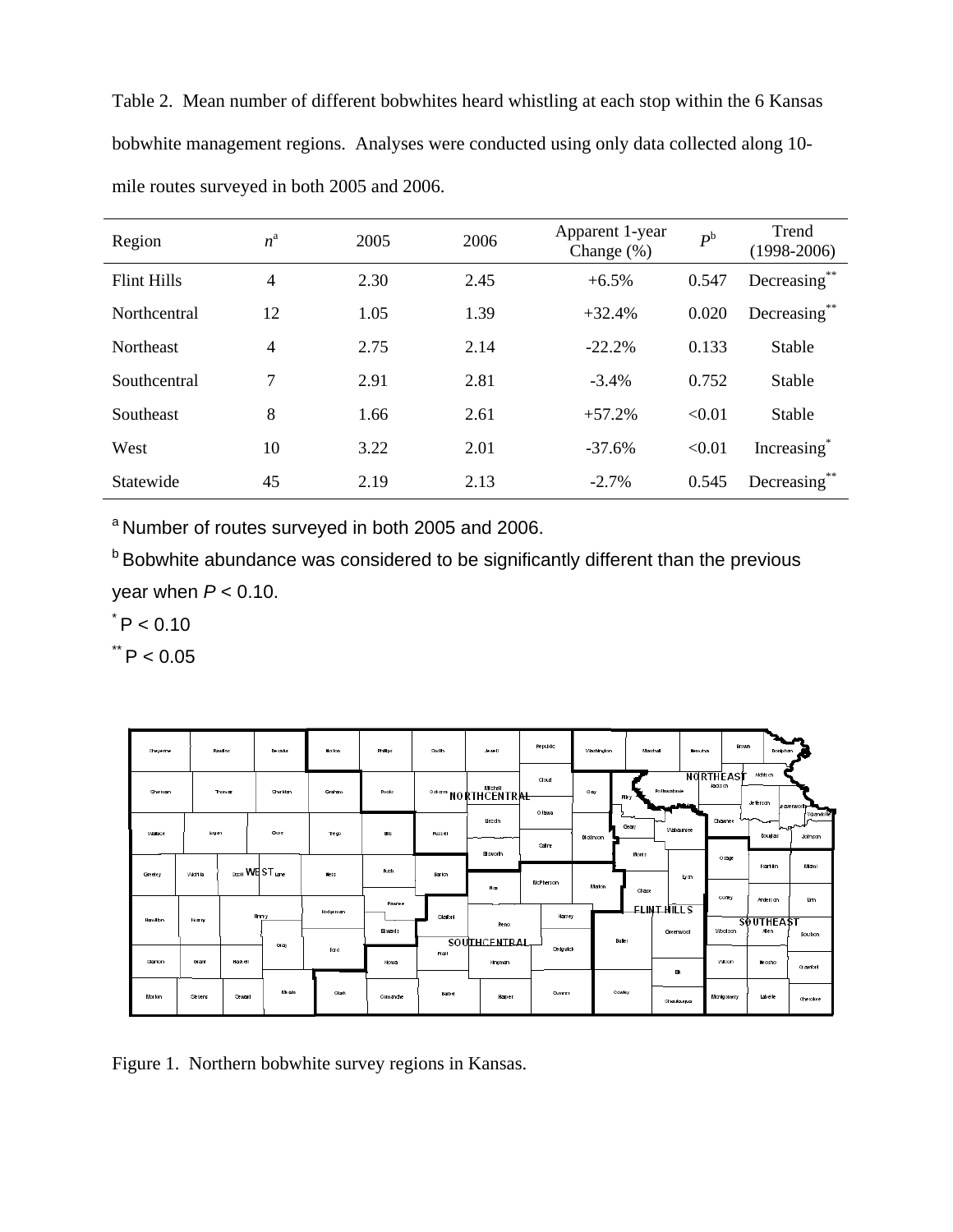Table 2. Mean number of different bobwhites heard whistling at each stop within the 6 Kansas bobwhite management regions. Analyses were conducted using only data collected along 10 mile routes surveyed in both 2005 and 2006.

| Region             | $n^a$          | 2005 | 2006 | Apparent 1-year<br>Change $(\%)$ | $P^{\rm b}$ | Trend<br>$(1998-2006)$  |
|--------------------|----------------|------|------|----------------------------------|-------------|-------------------------|
| <b>Flint Hills</b> | $\overline{4}$ | 2.30 | 2.45 | $+6.5%$                          | 0.547       | Decreasing              |
| Northcentral       | 12             | 1.05 | 1.39 | $+32.4%$                         | 0.020       | **<br>Decreasing        |
| <b>Northeast</b>   | $\overline{4}$ | 2.75 | 2.14 | $-22.2%$                         | 0.133       | <b>Stable</b>           |
| Southcentral       | 7              | 2.91 | 2.81 | $-3.4\%$                         | 0.752       | Stable                  |
| Southeast          | 8              | 1.66 | 2.61 | $+57.2%$                         | < 0.01      | <b>Stable</b>           |
| West               | 10             | 3.22 | 2.01 | $-37.6%$                         | < 0.01      | Increasing <sup>*</sup> |
| Statewide          | 45             | 2.19 | 2.13 | $-2.7\%$                         | 0.545       | Decreasing              |

<sup>a</sup> Number of routes surveyed in both 2005 and 2006.

**b** Bobwhite abundance was considered to be significantly different than the previous year when *P* < 0.10.

 $^{\star}$  P  $< 0.10$ 

 $*$  P < 0.05

| Cheyerne        |                 | <b>Rawling</b> | Decake                               | Norlon.      | Philips                | <b>Stall</b> | Jewell                         | <b>Republic</b>         | Washington      |                | Marshall<br><b>Nemaha</b> | <b>Brown</b>                | Dombihan                     |                                 |
|-----------------|-----------------|----------------|--------------------------------------|--------------|------------------------|--------------|--------------------------------|-------------------------|-----------------|----------------|---------------------------|-----------------------------|------------------------------|---------------------------------|
| <b>Eherman</b>  |                 | Thomas         | <b>Cheridan</b>                      | Graham       | Rooks                  |              | <b>Oshare NO RTH CENTRAL</b>   | Cloud                   | Clay            | File y         | Pollbwabmie               | <b>NORTHEAST</b><br>Jadison | Aldhison<br>Jeferson         | coverworth-                     |
| Waters          | Logan           |                | Gove                                 | Trego        | <b>B</b> It            | Pussell      | Unden                          | 0 Ibwa<br><b>Solice</b> | <b>Motinson</b> | Geory          | Wateursee                 | <b>Shawnee</b>              | <b>Douglas</b>               | vyantolis'<br>سميمسا<br>Johnson |
| Greeley         | World <b>ka</b> |                | <sub>coll</sub> WEST <sub>lane</sub> | Ne ss        | <b>Push</b>            | Barkm        | <b>Elsworth</b><br>Roz         | <b>McPherson</b>        | Marion          | Monts<br>Chase | lyan                      | Osam                        | Franklin                     | Mani                            |
| <b>Bamiltin</b> | leary           |                | Firmy                                | Hodgeman     | Pawree                 | Starked      | Reno                           | Harvey                  |                 |                | <b>FLINT HILLS</b>        | Coffey                      | Anterson<br><b>SOUTHEAST</b> | <b>Um</b>                       |
| Stanlon         | Grant           | <b>Haskell</b> | Gray                                 | Fard         | <b>Eiwords</b><br>Howa | Prall        | <b>SOUTHCENTRAL</b><br>Hingman | <b>Sedgwick</b>         |                 | Bullet         | Greenwood                 | <b>Wootson</b><br>Wison     | Alen<br><b>Measure</b>       | Bourbon<br>Crawford             |
| Morlon          | Slevens         | <b>Seward</b>  | Meale                                | <b>Clark</b> | Comandhe               | Barber       | Harper                         | Summer                  |                 | Cowley         | в.<br>Chautaugua          | Montgomery                  | Labelle                      | Cherokee                        |

Figure 1. Northern bobwhite survey regions in Kansas.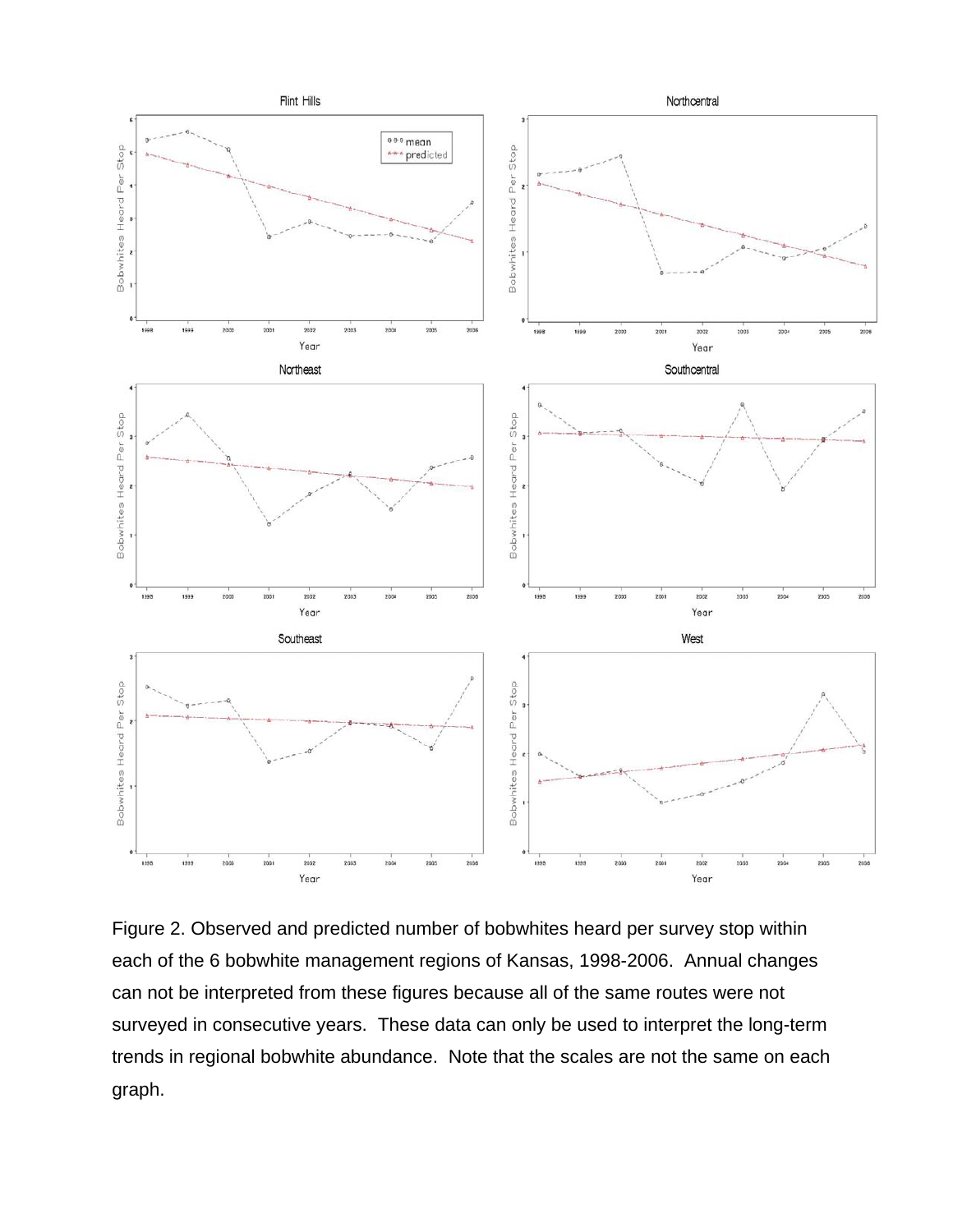

Figure 2. Observed and predicted number of bobwhites heard per survey stop within each of the 6 bobwhite management regions of Kansas, 1998-2006. Annual changes can not be interpreted from these figures because all of the same routes were not surveyed in consecutive years. These data can only be used to interpret the long-term trends in regional bobwhite abundance. Note that the scales are not the same on each graph.